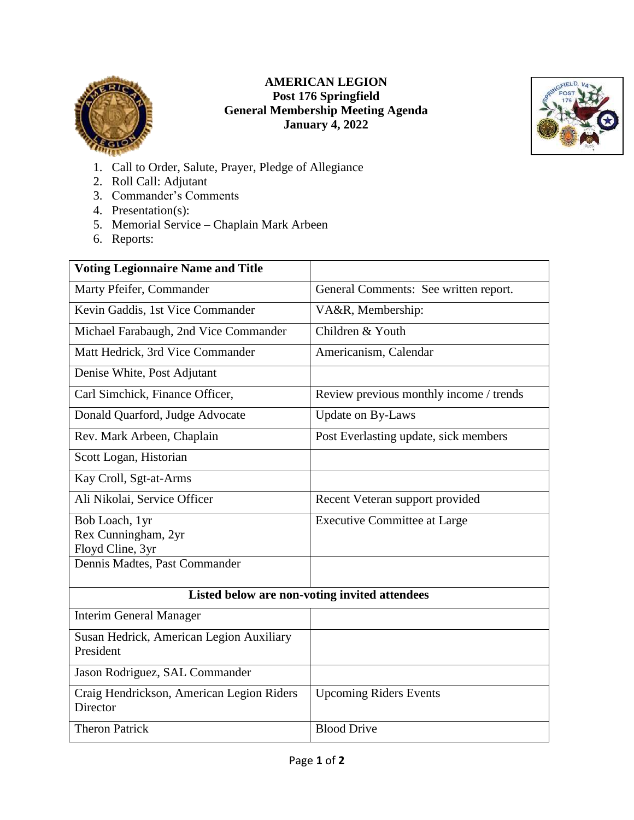

## **AMERICAN LEGION Post 176 Springfield General Membership Meeting Agenda January 4, 2022**



- 1. Call to Order, Salute, Prayer, Pledge of Allegiance
- 2. Roll Call: Adjutant
- 3. Commander's Comments
- 4. Presentation(s):
- 5. Memorial Service Chaplain Mark Arbeen
- 6. Reports:

| <b>Voting Legionnaire Name and Title</b>              |                                         |
|-------------------------------------------------------|-----------------------------------------|
| Marty Pfeifer, Commander                              | General Comments: See written report.   |
| Kevin Gaddis, 1st Vice Commander                      | VA&R, Membership:                       |
| Michael Farabaugh, 2nd Vice Commander                 | Children & Youth                        |
| Matt Hedrick, 3rd Vice Commander                      | Americanism, Calendar                   |
| Denise White, Post Adjutant                           |                                         |
| Carl Simchick, Finance Officer,                       | Review previous monthly income / trends |
| Donald Quarford, Judge Advocate                       | <b>Update on By-Laws</b>                |
| Rev. Mark Arbeen, Chaplain                            | Post Everlasting update, sick members   |
| Scott Logan, Historian                                |                                         |
| Kay Croll, Sgt-at-Arms                                |                                         |
| Ali Nikolai, Service Officer                          | Recent Veteran support provided         |
| Bob Loach, 1yr                                        | <b>Executive Committee at Large</b>     |
| Rex Cunningham, 2yr<br>Floyd Cline, 3yr               |                                         |
| Dennis Madtes, Past Commander                         |                                         |
|                                                       |                                         |
| Listed below are non-voting invited attendees         |                                         |
| <b>Interim General Manager</b>                        |                                         |
| Susan Hedrick, American Legion Auxiliary<br>President |                                         |
| Jason Rodriguez, SAL Commander                        |                                         |
| Craig Hendrickson, American Legion Riders<br>Director | <b>Upcoming Riders Events</b>           |
| <b>Theron Patrick</b>                                 | <b>Blood Drive</b>                      |